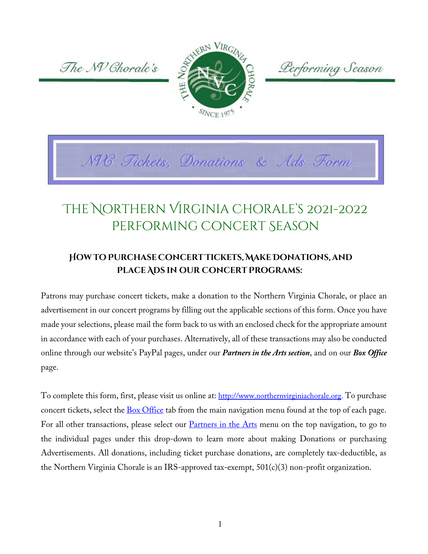The NV Chorale's



Lerforming Season



# The Northern Virginia Chorale's 2021-2022 Performing Concert Season

# **How to Purchase ConcertTickets, Make Donations, and Place Ads in our Concert Programs:**

Patrons may purchase concert tickets, make a donation to the Northern Virginia Chorale, or place an advertisement in our concert programs by filling out the applicable sections of this form. Once you have made your selections, please mail the form back to us with an enclosed check for the appropriate amount in accordance with each of your purchases. Alternatively, all of these transactions may also be conducted online through our website's PayPal pages, under our *Partners in the Arts section*, and on our *Box Office* page.

To complete this form, first, please visit us online at: http://www.northernvirginiachorale.org. To purchase concert tickets, select the  $\frac{Box\hspace{0.1cm}}{Office}$  tab [from the main navigation menu found at the top of ea](https://www.northernvirginiachorale.org/)ch page. For all other transactions, please select our **Partners in the Arts** menu on the top navigation, to go to the individual pages under this drop-down to learn more about making Donations or purchasing Advertisements. All donations, including ticket purchase donations, are completely tax-deductible, as the Northern Virginia Chorale is an IRS-approved tax-exempt, 501(c)(3) non-profit organization.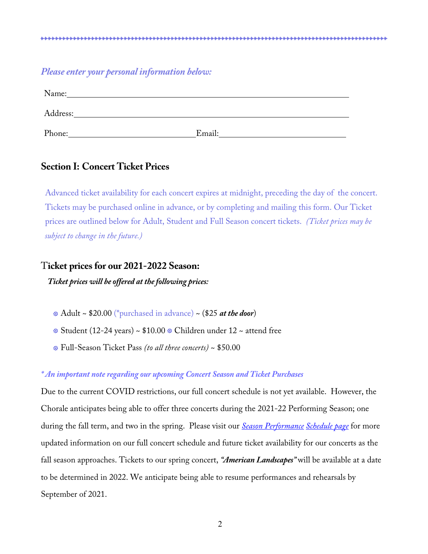------------------------------------------------------------------------------------------------

| Please enter your personal information below:                                                                                                                                                                                  |        |  |  |
|--------------------------------------------------------------------------------------------------------------------------------------------------------------------------------------------------------------------------------|--------|--|--|
| Name: Name and the set of the set of the set of the set of the set of the set of the set of the set of the set of the set of the set of the set of the set of the set of the set of the set of the set of the set of the set o |        |  |  |
| Address:                                                                                                                                                                                                                       |        |  |  |
| Phone:                                                                                                                                                                                                                         | Email: |  |  |

# **Section I: Concert Ticket Prices**

 Advanced ticket availability for each concert expires at midnight, preceding the day of the concert. Tickets may be purchased online in advance, or by completing and mailing this form. Our Ticket prices are outlined below for Adult, Student and Full Season concert tickets. *(Ticket prices may be subject to change in the future.)* 

### T**icket prices for our 2021-2022 Season:**

 *Ticket prices will be offered at the following prices:*

- Adult ~ \$20.00 (\*purchased in advance) ~ (\$25 *at the door*)
- Student (12-24 years) ~ \$10.00 Children under 12 ~ attend free
- Full-Season Ticket Pass *(to all three concerts)* ~ \$50.00

#### *\* An important note regarding our upcoming Concert Season and Ticket Purchases*

Due to the current COVID restrictions, our full concert schedule is not yet available. However, the Chorale anticipates being able to offer three concerts during the 2021-22 Performing Season; one during the fall term, and two in the spring. Please visit our *[Season Performance](http://www.northernvirginiachorale.org/season-schedule) Schedule page* for more updated information on our full concert schedule and future ticket availability for our concerts as the fall season approaches. Tickets to our spring concert, *"American Landscapes"* will be available at a date to be determined in 2022. We anticipate being able to resume performances and rehearsals by September of 2021.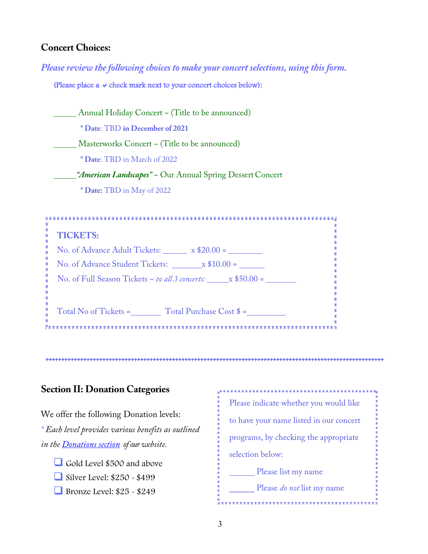## **Concert Choices:**

*Please review the following choices to make your concert selections, using this form.*

(Please place  $a \vee$  check mark next to your concert choices below):

Annual Holiday Concert ~ (Title to be announced)

**\* Date**: TBD **in December of 2021**

Masterworks Concert ~ (Title to be announced)

**\* Date**: TBD in March of 2022

*"American Landscapes"* ~ Our Annual Spring Dessert Concert

**\* Date:** TBD in May of 2022

| <b></b><br>Ш<br><b>TICKETS:</b><br>$\mathbf{u}$                                    |  |  |
|------------------------------------------------------------------------------------|--|--|
| a<br>I<br>No. of Advance Adult Tickets: $x $20.00 =$                               |  |  |
| Ш<br>No. of Advance Student Tickets: $x $10.00 =$<br>I                             |  |  |
| a<br>M<br>No. of Full Season Tickets $\sim$ to all 3 concerts: $\propto$ \$50.00 = |  |  |
| ı,<br>$Total No of Tickets =$ Total Purchase Cost $\frac{1}{2}$ =                  |  |  |

## **Section II: Donation Categories**

We offer the following Donation levels:

*\* Each level provides various benefits as outlined in the [Donations](http://www.northernvirginiachorale.org/partners-in-the-arts/donations) section of our website.*

- Gold Level \$500 and above
- Silver Level: \$250 \$499
- **Bronze Level: \$25 \$249**

Please indicate whether you would like to have your name listed in our concert programs, by checking the appropriate selection below: Please list my name **\_\_\_\_\_\_** Please *do not* list my name

-----------------------------------------------------------------------------------------------------------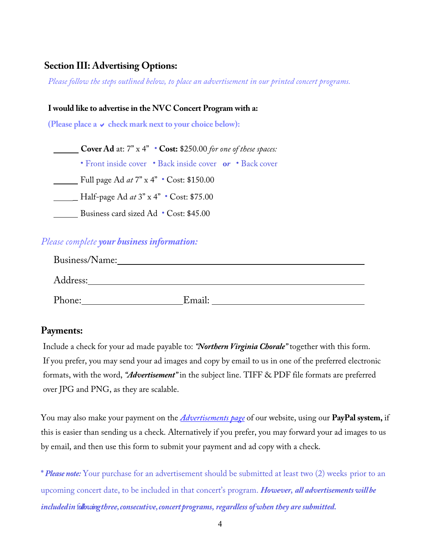# **Section III: Advertising Options:**

 *Please follow the steps outlined below, to place an advertisement in our printed concert programs.*

#### **I would like to advertise in the NVC Concert Program with a:**

 **(Please place a**  $\vee$  check mark next to your choice below):

| <b>Cover Ad at:</b> $7" \times 4"$ • <b>Cost:</b> \$250.00 for one of these spaces: |
|-------------------------------------------------------------------------------------|
| • Front inside cover • Back inside cover or • Back cover                            |
| Full page Ad at 7" x 4" • Cost: \$150.00                                            |
| Half-page Ad at 3" x 4" • Cost: \$75.00                                             |
| Business card sized Ad • Cost: \$45.00                                              |

# *Please complete your business information:*

| Business/Name: |        |
|----------------|--------|
| Address:       |        |
| Phone:         | Email: |

# **Payments:**

Include a check for your ad made payable to: *"Northern Virginia Chorale"* together with this form. If you prefer, you may send your ad images and copy by email to us in one of the preferred electronic formats, with the word, *"Advertisement"* in the subject line. TIFF & PDF file formats are preferred over JPG and PNG, as they are scalable.

You may also make your payment on the *[Advertisements page](http://www.northernvirginiachorale.org/partners-in-the-arts/advertisements)* of our website, using our **PayPalsystem,** if this is easier than sending us a check. Alternatively if you prefer, you may forward your ad images to us by email, and then use this form to submit your payment and ad copy with a check.

**\*** *Please note:* Your purchase for an advertisement should be submitted at least two (2) weeks prior to an upcoming concert date, to be included in that concert's program. *However, all advertisements will be includedin* f*ollowingthree,consecutive,concertprograms, regardless ofwhen they are submitted.*